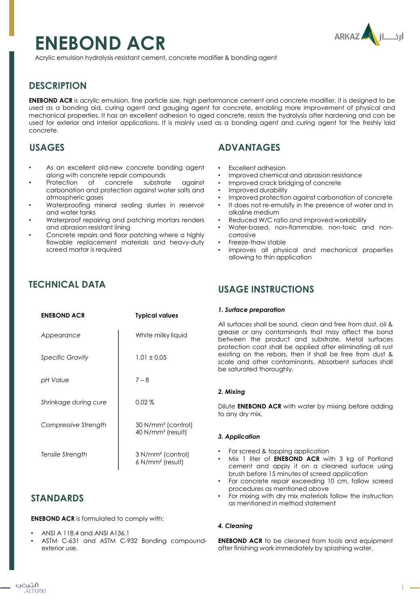# **ENEBOND ACR**



Acrylic emulsion hydrolysis-resistant cement, concrete modifier & bonding agent

## **DESCRIPTION**

**ENEBOND ACR** is acrylic emulsion, fine particle size, high performance cement and concrete modifier, it is designed to be used as a bonding aid, curing agent and gauging agent for concrete, enabling more improvement of physical and mechanical properties. It has an excellent adhesion to aged concrete, resists the hydrolysis after hardening and can be used for exterior and interior applications. It is mainly used as a bonding agent and curing agent for the freshly laid concrete.

## **USAGES**

- As an excellent old-new concrete bonding gaent along with concrete repair compounds
- Protection of concrete substrate against carbonation and protection against water salts and atmospheric gases
- Waterproofing mineral sealing slurries in reservoir and water tanks
- Waterproof repairing and patching mortars renders and abrasion resistant lining
- Concrete repairs and floor patching where a highly flowable replacement materials and heavy-duty screed mortar is required

## **TECHNICAL DATA**

| <b>ENEBOND ACR</b>      | <b>Typical values</b>                                           |
|-------------------------|-----------------------------------------------------------------|
| Appearance              | White milky liquid                                              |
| <b>Specific Gravity</b> | $1.01 \pm 0.05$                                                 |
| pH Value                | $7 - 8$                                                         |
| Shrinkage during cure   | $0.02\%$                                                        |
| Compressive Strength    | 30 N/mm <sup>2</sup> (control)<br>40 $N/mm^2$ (result)          |
| Tensile Strength        | 3 N/mm <sup>2</sup> (control)<br>$6$ N/mm <sup>2</sup> (result) |

## **STANDARDS**

**ENEBOND ACR** is formulated to comply with:

- ANSI A 118.4 and ANSI A136.1
- ASTM C-631 and ASTM C-932 Bonding compoundexterior use.

# **ADVANTAGES**

- Excellent adhesion
- Improved chemical and abrasion resistance
- Improved crack bridging of concrete
- Improved durability
- Improved protection against carbonation of concrete
- It does not re-emulsify in the presence of water and in alkaline medium
- Reduced W/C ratio and improved workability
- Water-based, non-flammable, non-toxic and noncorrosive
- Freeze-thaw stable
- Improves all physical and mechanical properties allowing to thin application

## **USAGE INSTRUCTIONS**

#### *1. Surface preparation*

All surfaces shall be sound, clean and free from dust, oil & grease or any contaminants that may affect the bond between the product and substrate. Metal surfaces protection coat shall be applied after eliminating all rust existing on the rebars, then it shall be free from dust & scale and other contaminants. Absorbent surfaces shall be saturated thoroughly.

## *2. Mixing*

Dilute **ENEBOND ACR** with water by mixing before adding to any dry mix.

## *3. Application*

- For screed & topping application
- Mix 1 liter of **ENEBOND ACR** with 3 kg of Portland cement and apply it on a cleaned surface using brush before 15 minutes of screed application
- For concrete repair exceeding 10 cm, follow screed procedures as mentioned above
- For mixing with dry mix materials follow the instruction as mentioned in method statement

## *4. Cleaning*

**ENEBOND ACR** to be cleaned from tools and equipment after finishing work immediately by splashing water.